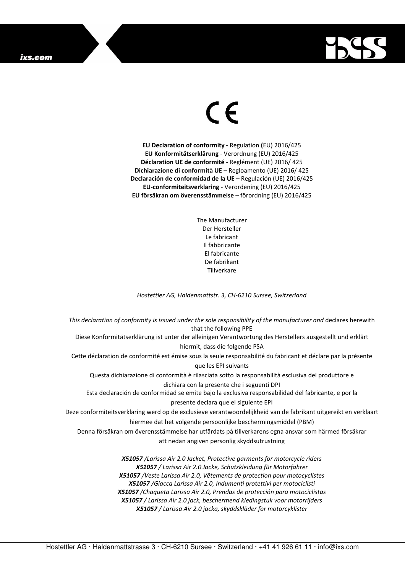## ixs.com



## $\in$

**EU Declaration of conformity -** Regulation **(**EU) 2016/425 **EU Konformitätserklärung** - Verordnung (EU) 2016/425 **Déclaration UE de conformité** - Reglément (UE) 2016/ 425 **Dichiarazione di conformità UE** – Regloamento (UE) 2016/ 425 **Declaración de conformidad de la UE** – Regulación (UE) 2016/425 **EU-conformiteitsverklaring** - Verordening (EU) 2016/425 **EU försäkran om överensstämmelse** – förordning (EU) 2016/425

> The Manufacturer Der Hersteller Le fabricant Il fabbricante El fabricante De fabrikant **Tillverkare**

*Hostettler AG, Haldenmattstr. 3, CH-6210 Sursee, Switzerland* 

*This declaration of conformity is issued under the sole responsibility of the manufacturer and* declares herewith that the following PPE Diese Konformitätserklärung ist unter der alleinigen Verantwortung des Herstellers ausgestellt und erklärt hiermit, dass die folgende PSA Cette déclaration de conformité est émise sous la seule responsabilité du fabricant et déclare par la présente que les EPI suivants Questa dichiarazione di conformità è rilasciata sotto la responsabilità esclusiva del produttore e dichiara con la presente che i seguenti DPI Esta declaración de conformidad se emite bajo la exclusiva responsabilidad del fabricante, e por la presente declara que el siguiente EPI Deze conformiteitsverklaring werd op de exclusieve verantwoordelijkheid van de fabrikant uitgereikt en verklaart hiermee dat het volgende persoonlijke beschermingsmiddel (PBM) Denna försäkran om överensstämmelse har utfärdats på tillverkarens egna ansvar som härmed försäkrar att nedan angiven personlig skyddsutrustning *X51057 /Larissa Air 2.0 Jacket, Protective garments for motorcycle riders X51057 / Larissa Air 2.0 Jacke, Schutzkleidung für Motorfahrer X51057 /Veste Larissa Air 2.0, Vêtements de protection pour motocyclistes X51057 /Giacca Larissa Air 2.0, Indumenti protettivi per motociclisti X51057 /Chaqueta Larissa Air 2.0, Prendas de protección para motociclistas* 

> *X51057 / Larissa Air 2.0 jack, beschermend kledingstuk voor motorrijders X51057 / Larissa Air 2.0 jacka, skyddskläder för motorcyklister*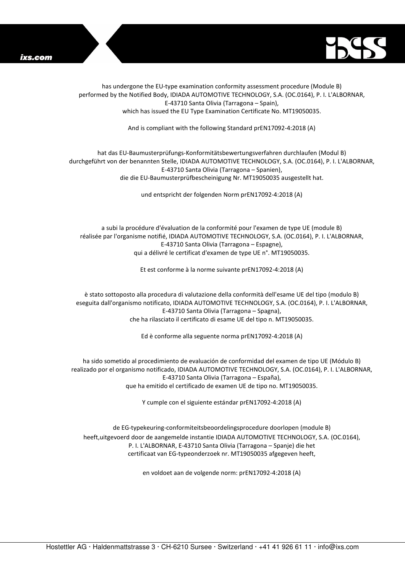



has undergone the EU-type examination conformity assessment procedure (Module B) performed by the Notified Body, IDIADA AUTOMOTIVE TECHNOLOGY, S.A. (OC.0164), P. I. L'ALBORNAR, E-43710 Santa Olivia (Tarragona – Spain), which has issued the EU Type Examination Certificate No. MT19050035.

And is compliant with the following Standard prEN17092-4:2018 (A)

## hat das EU-Baumusterprüfungs-Konformitätsbewertungsverfahren durchlaufen (Modul B) durchgeführt von der benannten Stelle, IDIADA AUTOMOTIVE TECHNOLOGY, S.A. (OC.0164), P. I. L'ALBORNAR, E-43710 Santa Olivia (Tarragona – Spanien), die die EU-Baumusterprüfbescheinigung Nr. MT19050035 ausgestellt hat.

und entspricht der folgenden Norm prEN17092-4:2018 (A)

a subi la procédure d'évaluation de la conformité pour l'examen de type UE (module B) réalisée par l'organisme notifié, IDIADA AUTOMOTIVE TECHNOLOGY, S.A. (OC.0164), P. I. L'ALBORNAR, E-43710 Santa Olivia (Tarragona – Espagne), qui a délivré le certificat d'examen de type UE n°. MT19050035.

Et est conforme à la norme suivante prEN17092-4:2018 (A)

è stato sottoposto alla procedura di valutazione della conformità dell'esame UE del tipo (modulo B) eseguita dall'organismo notificato, IDIADA AUTOMOTIVE TECHNOLOGY, S.A. (OC.0164), P. I. L'ALBORNAR, E-43710 Santa Olivia (Tarragona – Spagna), che ha rilasciato il certificato di esame UE del tipo n. MT19050035.

Ed è conforme alla seguente norma prEN17092-4:2018 (A)

ha sido sometido al procedimiento de evaluación de conformidad del examen de tipo UE (Módulo B) realizado por el organismo notificado, IDIADA AUTOMOTIVE TECHNOLOGY, S.A. (OC.0164), P. I. L'ALBORNAR, E-43710 Santa Olivia (Tarragona – España), que ha emitido el certificado de examen UE de tipo no. MT19050035.

Y cumple con el siguiente estándar prEN17092-4:2018 (A)

de EG-typekeuring-conformiteitsbeoordelingsprocedure doorlopen (module B) heeft,uitgevoerd door de aangemelde instantie IDIADA AUTOMOTIVE TECHNOLOGY, S.A. (OC.0164), P. I. L'ALBORNAR, E-43710 Santa Olivia (Tarragona – Spanje) die het certificaat van EG-typeonderzoek nr. MT19050035 afgegeven heeft,

en voldoet aan de volgende norm: prEN17092-4:2018 (A)